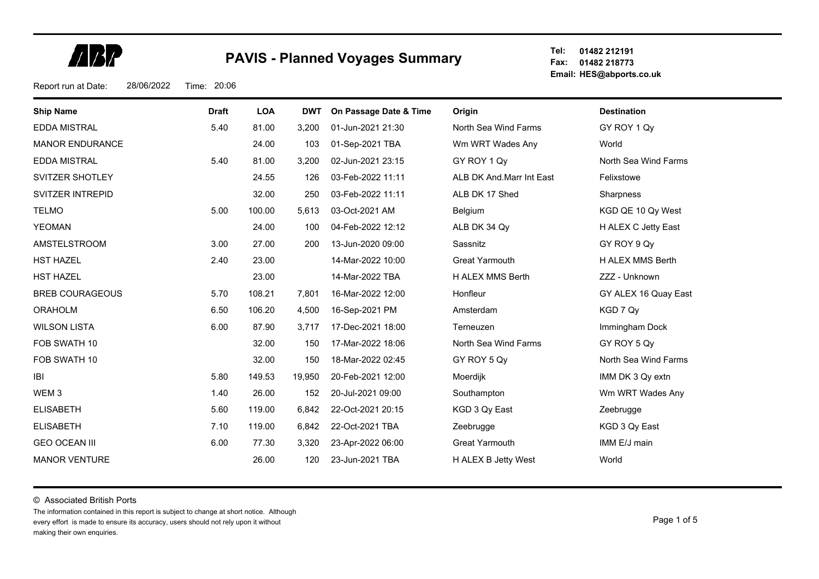**ARP** 

**Tel: Fax: 01482 218773 Email: HES@abports.co.uk 01482 212191**

Report run at Date: 28/06/2022 Time: 20:06

| <b>Ship Name</b>       | <b>Draft</b> | <b>LOA</b> | <b>DWT</b> | On Passage Date & Time | Origin                   | <b>Destination</b>   |
|------------------------|--------------|------------|------------|------------------------|--------------------------|----------------------|
| EDDA MISTRAL           | 5.40         | 81.00      | 3,200      | 01-Jun-2021 21:30      | North Sea Wind Farms     | GY ROY 1 Qy          |
| <b>MANOR ENDURANCE</b> |              | 24.00      | 103        | 01-Sep-2021 TBA        | Wm WRT Wades Any         | World                |
| <b>EDDA MISTRAL</b>    | 5.40         | 81.00      | 3,200      | 02-Jun-2021 23:15      | GY ROY 1 Qy              | North Sea Wind Farms |
| SVITZER SHOTLEY        |              | 24.55      | 126        | 03-Feb-2022 11:11      | ALB DK And Marr Int East | Felixstowe           |
| SVITZER INTREPID       |              | 32.00      | 250        | 03-Feb-2022 11:11      | ALB DK 17 Shed           | <b>Sharpness</b>     |
| <b>TELMO</b>           | 5.00         | 100.00     | 5,613      | 03-Oct-2021 AM         | Belgium                  | KGD QE 10 Qy West    |
| <b>YEOMAN</b>          |              | 24.00      | 100        | 04-Feb-2022 12:12      | ALB DK 34 Qy             | H ALEX C Jetty East  |
| AMSTELSTROOM           | 3.00         | 27.00      | 200        | 13-Jun-2020 09:00      | Sassnitz                 | GY ROY 9 Qy          |
| <b>HST HAZEL</b>       | 2.40         | 23.00      |            | 14-Mar-2022 10:00      | <b>Great Yarmouth</b>    | H ALEX MMS Berth     |
| <b>HST HAZEL</b>       |              | 23.00      |            | 14-Mar-2022 TBA        | H ALEX MMS Berth         | ZZZ - Unknown        |
| <b>BREB COURAGEOUS</b> | 5.70         | 108.21     | 7,801      | 16-Mar-2022 12:00      | Honfleur                 | GY ALEX 16 Quay East |
| <b>ORAHOLM</b>         | 6.50         | 106.20     | 4,500      | 16-Sep-2021 PM         | Amsterdam                | KGD 7 Qy             |
| <b>WILSON LISTA</b>    | 6.00         | 87.90      | 3,717      | 17-Dec-2021 18:00      | Terneuzen                | Immingham Dock       |
| FOB SWATH 10           |              | 32.00      | 150        | 17-Mar-2022 18:06      | North Sea Wind Farms     | GY ROY 5 Qy          |
| FOB SWATH 10           |              | 32.00      | 150        | 18-Mar-2022 02:45      | GY ROY 5 Qy              | North Sea Wind Farms |
| IBI                    | 5.80         | 149.53     | 19,950     | 20-Feb-2021 12:00      | Moerdijk                 | IMM DK 3 Qy extn     |
| WEM <sub>3</sub>       | 1.40         | 26.00      | 152        | 20-Jul-2021 09:00      | Southampton              | Wm WRT Wades Any     |
| <b>ELISABETH</b>       | 5.60         | 119.00     | 6,842      | 22-Oct-2021 20:15      | KGD 3 Qy East            | Zeebrugge            |
| <b>ELISABETH</b>       | 7.10         | 119.00     | 6,842      | 22-Oct-2021 TBA        | Zeebrugge                | KGD 3 Qy East        |
| <b>GEO OCEAN III</b>   | 6.00         | 77.30      | 3,320      | 23-Apr-2022 06:00      | <b>Great Yarmouth</b>    | IMM E/J main         |
| <b>MANOR VENTURE</b>   |              | 26.00      | 120        | 23-Jun-2021 TBA        | H ALEX B Jetty West      | World                |

© Associated British Ports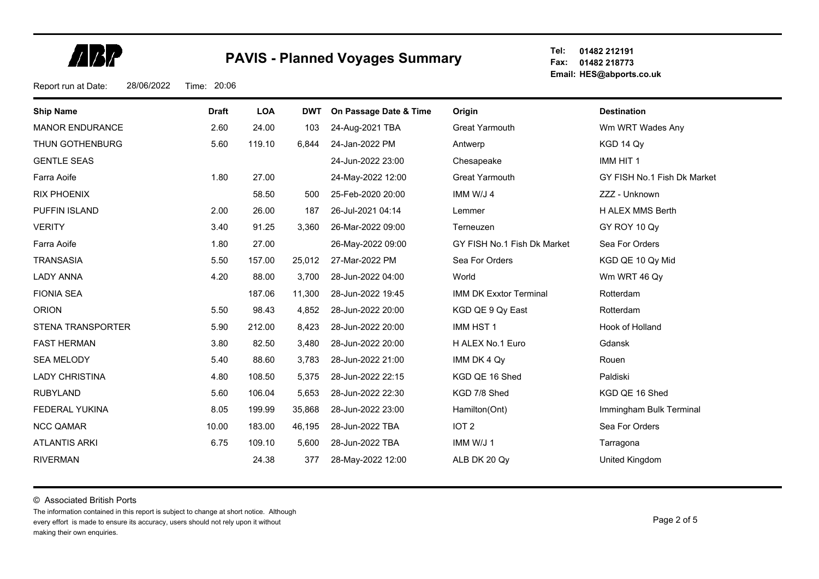**ABR** 

**Tel: Fax: 01482 218773 Email: HES@abports.co.uk 01482 212191**

Report run at Date: 28/06/2022 Time: 20:06

| <b>Ship Name</b>       | <b>Draft</b> | <b>LOA</b> | <b>DWT</b> | On Passage Date & Time | Origin                        | <b>Destination</b>          |
|------------------------|--------------|------------|------------|------------------------|-------------------------------|-----------------------------|
| <b>MANOR ENDURANCE</b> | 2.60         | 24.00      | 103        | 24-Aug-2021 TBA        | Great Yarmouth                | Wm WRT Wades Any            |
| THUN GOTHENBURG        | 5.60         | 119.10     | 6,844      | 24-Jan-2022 PM         | Antwerp                       | KGD 14 Qy                   |
| <b>GENTLE SEAS</b>     |              |            |            | 24-Jun-2022 23:00      | Chesapeake                    | IMM HIT 1                   |
| Farra Aoife            | 1.80         | 27.00      |            | 24-May-2022 12:00      | Great Yarmouth                | GY FISH No.1 Fish Dk Market |
| <b>RIX PHOENIX</b>     |              | 58.50      | 500        | 25-Feb-2020 20:00      | IMM W/J 4                     | ZZZ - Unknown               |
| <b>PUFFIN ISLAND</b>   | 2.00         | 26.00      | 187        | 26-Jul-2021 04:14      | Lemmer                        | H ALEX MMS Berth            |
| <b>VERITY</b>          | 3.40         | 91.25      | 3,360      | 26-Mar-2022 09:00      | Terneuzen                     | GY ROY 10 Qy                |
| Farra Aoife            | 1.80         | 27.00      |            | 26-May-2022 09:00      | GY FISH No.1 Fish Dk Market   | Sea For Orders              |
| <b>TRANSASIA</b>       | 5.50         | 157.00     | 25,012     | 27-Mar-2022 PM         | Sea For Orders                | KGD QE 10 Qy Mid            |
| <b>LADY ANNA</b>       | 4.20         | 88.00      | 3,700      | 28-Jun-2022 04:00      | World                         | Wm WRT 46 Qy                |
| <b>FIONIA SEA</b>      |              | 187.06     | 11,300     | 28-Jun-2022 19:45      | <b>IMM DK Exxtor Terminal</b> | Rotterdam                   |
| <b>ORION</b>           | 5.50         | 98.43      | 4,852      | 28-Jun-2022 20:00      | KGD QE 9 Qy East              | Rotterdam                   |
| STENA TRANSPORTER      | 5.90         | 212.00     | 8,423      | 28-Jun-2022 20:00      | IMM HST 1                     | Hook of Holland             |
| <b>FAST HERMAN</b>     | 3.80         | 82.50      | 3,480      | 28-Jun-2022 20:00      | H ALEX No.1 Euro              | Gdansk                      |
| <b>SEA MELODY</b>      | 5.40         | 88.60      | 3,783      | 28-Jun-2022 21:00      | IMM DK 4 Qy                   | Rouen                       |
| <b>LADY CHRISTINA</b>  | 4.80         | 108.50     | 5,375      | 28-Jun-2022 22:15      | KGD QE 16 Shed                | Paldiski                    |
| <b>RUBYLAND</b>        | 5.60         | 106.04     | 5,653      | 28-Jun-2022 22:30      | KGD 7/8 Shed                  | KGD QE 16 Shed              |
| FEDERAL YUKINA         | 8.05         | 199.99     | 35,868     | 28-Jun-2022 23:00      | Hamilton(Ont)                 | Immingham Bulk Terminal     |
| <b>NCC QAMAR</b>       | 10.00        | 183.00     | 46,195     | 28-Jun-2022 TBA        | IOT <sub>2</sub>              | Sea For Orders              |
| <b>ATLANTIS ARKI</b>   | 6.75         | 109.10     | 5,600      | 28-Jun-2022 TBA        | IMM W/J 1                     | Tarragona                   |
| <b>RIVERMAN</b>        |              | 24.38      | 377        | 28-May-2022 12:00      | ALB DK 20 Qy                  | United Kingdom              |

© Associated British Ports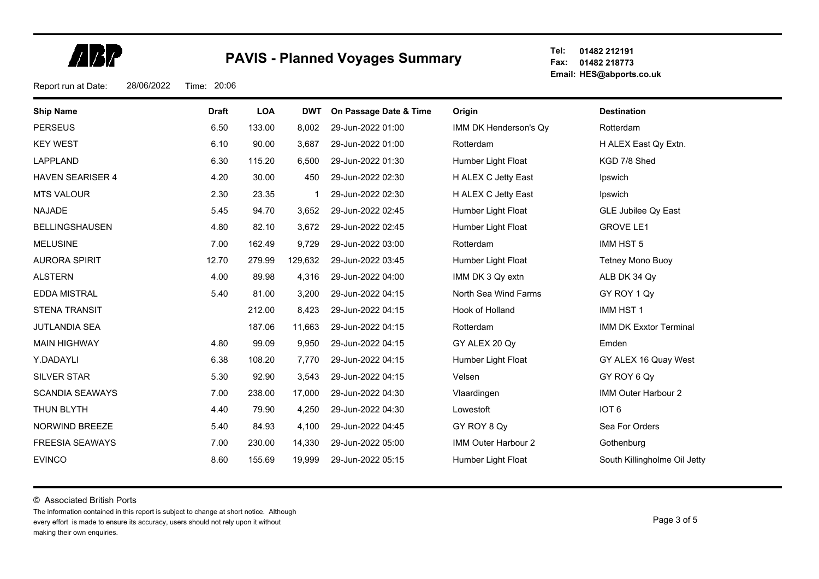**ARP** 

**Tel: Fax: 01482 218773 Email: HES@abports.co.uk 01482 212191**

Report run at Date: 28/06/2022 Time: 20:06

| <b>Ship Name</b>        | <b>Draft</b> | <b>LOA</b> | <b>DWT</b> | On Passage Date & Time | Origin                | <b>Destination</b>            |
|-------------------------|--------------|------------|------------|------------------------|-----------------------|-------------------------------|
| <b>PERSEUS</b>          | 6.50         | 133.00     | 8,002      | 29-Jun-2022 01:00      | IMM DK Henderson's Qy | Rotterdam                     |
| <b>KEY WEST</b>         | 6.10         | 90.00      | 3,687      | 29-Jun-2022 01:00      | Rotterdam             | H ALEX East Qy Extn.          |
| LAPPLAND                | 6.30         | 115.20     | 6,500      | 29-Jun-2022 01:30      | Humber Light Float    | KGD 7/8 Shed                  |
| <b>HAVEN SEARISER 4</b> | 4.20         | 30.00      | 450        | 29-Jun-2022 02:30      | H ALEX C Jetty East   | Ipswich                       |
| <b>MTS VALOUR</b>       | 2.30         | 23.35      |            | 29-Jun-2022 02:30      | H ALEX C Jetty East   | Ipswich                       |
| <b>NAJADE</b>           | 5.45         | 94.70      | 3,652      | 29-Jun-2022 02:45      | Humber Light Float    | <b>GLE Jubilee Qy East</b>    |
| <b>BELLINGSHAUSEN</b>   | 4.80         | 82.10      | 3,672      | 29-Jun-2022 02:45      | Humber Light Float    | <b>GROVE LE1</b>              |
| <b>MELUSINE</b>         | 7.00         | 162.49     | 9,729      | 29-Jun-2022 03:00      | Rotterdam             | IMM HST 5                     |
| <b>AURORA SPIRIT</b>    | 12.70        | 279.99     | 129,632    | 29-Jun-2022 03:45      | Humber Light Float    | Tetney Mono Buoy              |
| <b>ALSTERN</b>          | 4.00         | 89.98      | 4,316      | 29-Jun-2022 04:00      | IMM DK 3 Qy extn      | ALB DK 34 Qy                  |
| <b>EDDA MISTRAL</b>     | 5.40         | 81.00      | 3,200      | 29-Jun-2022 04:15      | North Sea Wind Farms  | GY ROY 1 Qy                   |
| <b>STENA TRANSIT</b>    |              | 212.00     | 8,423      | 29-Jun-2022 04:15      | Hook of Holland       | IMM HST 1                     |
| <b>JUTLANDIA SEA</b>    |              | 187.06     | 11,663     | 29-Jun-2022 04:15      | Rotterdam             | <b>IMM DK Exxtor Terminal</b> |
| <b>MAIN HIGHWAY</b>     | 4.80         | 99.09      | 9,950      | 29-Jun-2022 04:15      | GY ALEX 20 Qy         | Emden                         |
| Y.DADAYLI               | 6.38         | 108.20     | 7,770      | 29-Jun-2022 04:15      | Humber Light Float    | GY ALEX 16 Quay West          |
| <b>SILVER STAR</b>      | 5.30         | 92.90      | 3,543      | 29-Jun-2022 04:15      | Velsen                | GY ROY 6 Qy                   |
| <b>SCANDIA SEAWAYS</b>  | 7.00         | 238.00     | 17,000     | 29-Jun-2022 04:30      | Vlaardingen           | IMM Outer Harbour 2           |
| THUN BLYTH              | 4.40         | 79.90      | 4,250      | 29-Jun-2022 04:30      | Lowestoft             | IOT <sub>6</sub>              |
| NORWIND BREEZE          | 5.40         | 84.93      | 4,100      | 29-Jun-2022 04:45      | GY ROY 8 Qy           | Sea For Orders                |
| <b>FREESIA SEAWAYS</b>  | 7.00         | 230.00     | 14,330     | 29-Jun-2022 05:00      | IMM Outer Harbour 2   | Gothenburg                    |
| <b>EVINCO</b>           | 8.60         | 155.69     | 19,999     | 29-Jun-2022 05:15      | Humber Light Float    | South Killingholme Oil Jetty  |

© Associated British Ports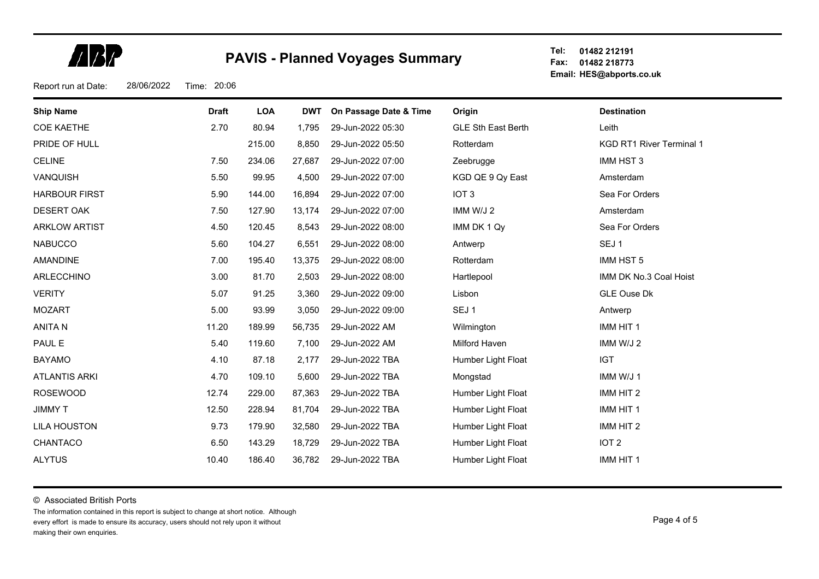**ARP** 

**Tel: Fax: 01482 218773 Email: HES@abports.co.uk 01482 212191**

Report run at Date: 28/06/2022 Time: 20:06

| <b>Ship Name</b>     | <b>Draft</b> | <b>LOA</b> | <b>DWT</b> | On Passage Date & Time | Origin             | <b>Destination</b>              |
|----------------------|--------------|------------|------------|------------------------|--------------------|---------------------------------|
| <b>COE KAETHE</b>    | 2.70         | 80.94      | 1,795      | 29-Jun-2022 05:30      | GLE Sth East Berth | Leith                           |
| PRIDE OF HULL        |              | 215.00     | 8,850      | 29-Jun-2022 05:50      | Rotterdam          | <b>KGD RT1 River Terminal 1</b> |
| <b>CELINE</b>        | 7.50         | 234.06     | 27,687     | 29-Jun-2022 07:00      | Zeebrugge          | IMM HST 3                       |
| VANQUISH             | 5.50         | 99.95      | 4,500      | 29-Jun-2022 07:00      | KGD QE 9 Qy East   | Amsterdam                       |
| <b>HARBOUR FIRST</b> | 5.90         | 144.00     | 16,894     | 29-Jun-2022 07:00      | IOT <sub>3</sub>   | Sea For Orders                  |
| <b>DESERT OAK</b>    | 7.50         | 127.90     | 13,174     | 29-Jun-2022 07:00      | IMM W/J 2          | Amsterdam                       |
| <b>ARKLOW ARTIST</b> | 4.50         | 120.45     | 8,543      | 29-Jun-2022 08:00      | IMM DK 1 Qy        | Sea For Orders                  |
| <b>NABUCCO</b>       | 5.60         | 104.27     | 6,551      | 29-Jun-2022 08:00      | Antwerp            | SEJ <sub>1</sub>                |
| <b>AMANDINE</b>      | 7.00         | 195.40     | 13,375     | 29-Jun-2022 08:00      | Rotterdam          | IMM HST 5                       |
| ARLECCHINO           | 3.00         | 81.70      | 2,503      | 29-Jun-2022 08:00      | Hartlepool         | IMM DK No.3 Coal Hoist          |
| <b>VERITY</b>        | 5.07         | 91.25      | 3,360      | 29-Jun-2022 09:00      | Lisbon             | <b>GLE Ouse Dk</b>              |
| <b>MOZART</b>        | 5.00         | 93.99      | 3,050      | 29-Jun-2022 09:00      | SEJ <sub>1</sub>   | Antwerp                         |
| <b>ANITAN</b>        | 11.20        | 189.99     | 56,735     | 29-Jun-2022 AM         | Wilmington         | IMM HIT 1                       |
| PAUL E               | 5.40         | 119.60     | 7,100      | 29-Jun-2022 AM         | Milford Haven      | IMM W/J 2                       |
| <b>BAYAMO</b>        | 4.10         | 87.18      | 2,177      | 29-Jun-2022 TBA        | Humber Light Float | <b>IGT</b>                      |
| <b>ATLANTIS ARKI</b> | 4.70         | 109.10     | 5,600      | 29-Jun-2022 TBA        | Mongstad           | IMM W/J 1                       |
| <b>ROSEWOOD</b>      | 12.74        | 229.00     | 87,363     | 29-Jun-2022 TBA        | Humber Light Float | IMM HIT 2                       |
| <b>JIMMY T</b>       | 12.50        | 228.94     | 81,704     | 29-Jun-2022 TBA        | Humber Light Float | IMM HIT 1                       |
| <b>LILA HOUSTON</b>  | 9.73         | 179.90     | 32,580     | 29-Jun-2022 TBA        | Humber Light Float | IMM HIT 2                       |
| CHANTACO             | 6.50         | 143.29     | 18,729     | 29-Jun-2022 TBA        | Humber Light Float | IOT <sub>2</sub>                |
| <b>ALYTUS</b>        | 10.40        | 186.40     | 36,782     | 29-Jun-2022 TBA        | Humber Light Float | IMM HIT 1                       |

© Associated British Ports